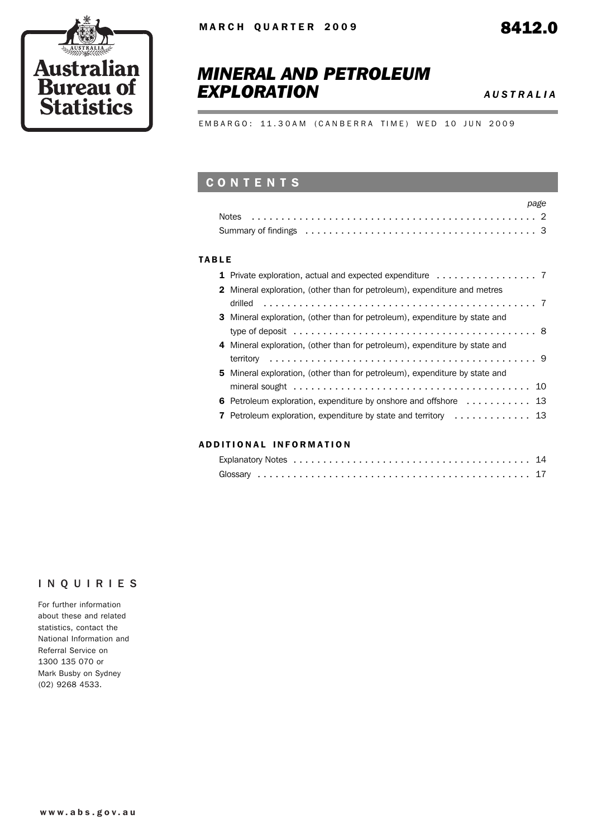

# *MINERAL AND PETROLEUM EXPLORATION AUSTRALIA*

EMBARGO: 11.30AM (CANBERRA TIME) WED 10 JUN 2009

## **CONTENTS**

| page |
|------|
|      |
|      |

#### TABLE

| <b>2</b> Mineral exploration, (other than for petroleum), expenditure and metres   |
|------------------------------------------------------------------------------------|
|                                                                                    |
| <b>3</b> Mineral exploration, (other than for petroleum), expenditure by state and |
|                                                                                    |
| 4 Mineral exploration, (other than for petroleum), expenditure by state and        |
|                                                                                    |
| <b>5</b> Mineral exploration, (other than for petroleum), expenditure by state and |
|                                                                                    |
| 6 Petroleum exploration, expenditure by onshore and offshore  13                   |
| <b>7</b> Petroleum exploration, expenditure by state and territory  13             |
|                                                                                    |

#### ADD ITIONAL INFORMATION

#### INQUIRIES

For further information about these and related statistics, contact the National Information and Referral Service on 1300 135 070 or Mark Busby on Sydney (02) 9268 4533.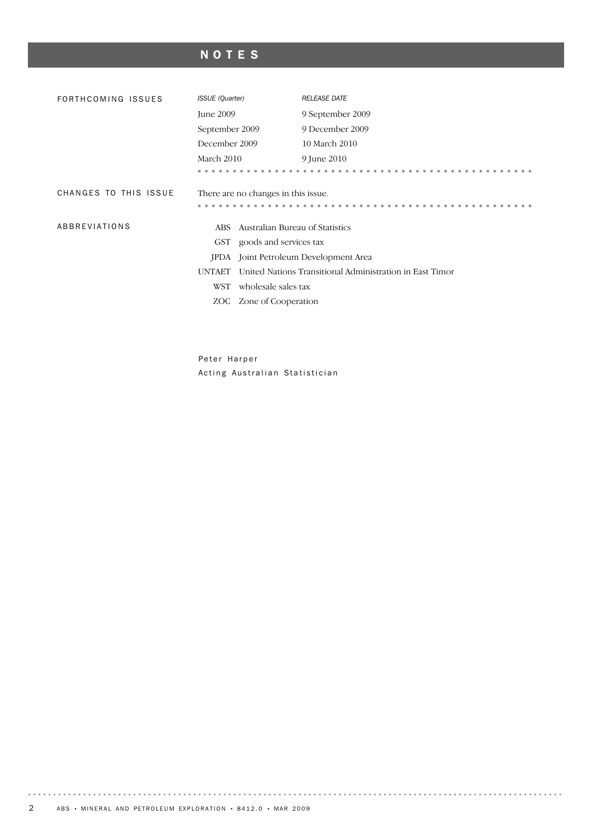# NOTES

| FORTHCOMING ISSUES    | <b>ISSUE</b> (Quarter)                   | <b>RELEASE DATE</b>                                      |  |  |  |  |  |  |  |
|-----------------------|------------------------------------------|----------------------------------------------------------|--|--|--|--|--|--|--|
|                       | June 2009                                | 9 September 2009                                         |  |  |  |  |  |  |  |
|                       | September 2009                           | 9 December 2009                                          |  |  |  |  |  |  |  |
|                       | December 2009                            | 10 March 2010                                            |  |  |  |  |  |  |  |
|                       | March 2010                               | 9 June 2010                                              |  |  |  |  |  |  |  |
|                       |                                          |                                                          |  |  |  |  |  |  |  |
| CHANGES TO THIS ISSUE | There are no changes in this issue.      |                                                          |  |  |  |  |  |  |  |
| ABBREVIATIONS         | Australian Bureau of Statistics<br>ABS - |                                                          |  |  |  |  |  |  |  |
|                       | goods and services tax<br>GST            |                                                          |  |  |  |  |  |  |  |
|                       | <b>IPDA</b>                              | Joint Petroleum Development Area                         |  |  |  |  |  |  |  |
|                       | <b>UNTAET</b>                            | United Nations Transitional Administration in East Timor |  |  |  |  |  |  |  |
|                       | wholesale sales tax<br><b>WST</b>        |                                                          |  |  |  |  |  |  |  |
|                       | ZOC Zone of Cooperation                  |                                                          |  |  |  |  |  |  |  |
|                       |                                          |                                                          |  |  |  |  |  |  |  |

Peter Harper Acting Australian Statistician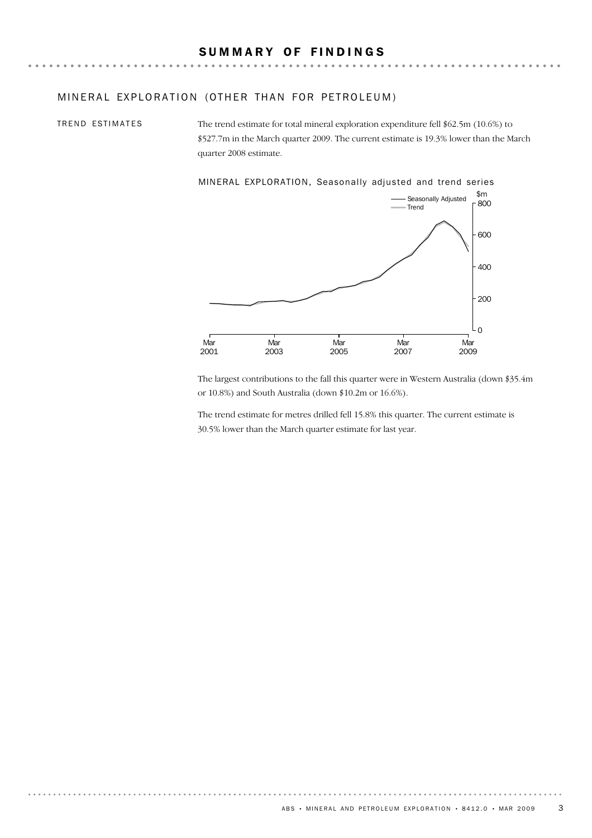#### MINERAL EXPLORATION (OTHER THAN FOR PETROLEUM)

TREND ESTIMATES

The trend estimate for total mineral exploration expenditure fell \$62.5m (10.6%) to \$527.7m in the March quarter 2009. The current estimate is 19.3% lower than the March quarter 2008 estimate.

MINERAL EXPLORATION, Seasonally adjusted and trend series



The largest contributions to the fall this quarter were in Western Australia (down \$35.4m or 10.8%) and South Australia (down \$10.2m or 16.6%).

The trend estimate for metres drilled fell 15.8% this quarter. The current estimate is 30.5% lower than the March quarter estimate for last year.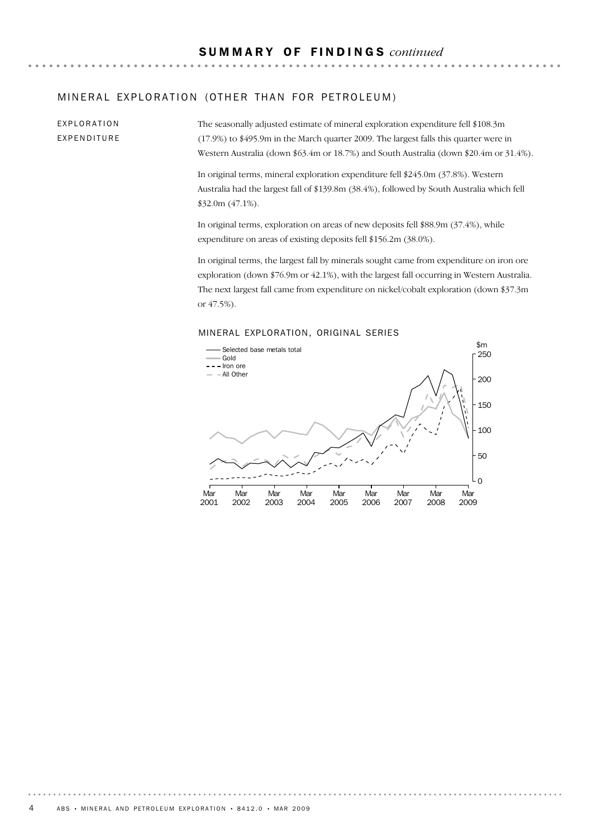#### MINERAL EXPLORATION (OTHER THAN FOR PETROLEUM)

EXPLORATION EXPENDITURE The seasonally adjusted estimate of mineral exploration expenditure fell \$108.3m (17.9%) to \$495.9m in the March quarter 2009. The largest falls this quarter were in Western Australia (down \$63.4m or 18.7%) and South Australia (down \$20.4m or 31.4%).

In original terms, mineral exploration expenditure fell \$245.0m (37.8%). Western Australia had the largest fall of \$139.8m (38.4%), followed by South Australia which fell \$32.0m (47.1%).

In original terms, exploration on areas of new deposits fell \$88.9m (37.4%), while expenditure on areas of existing deposits fell \$156.2m (38.0%).

In original terms, the largest fall by minerals sought came from expenditure on iron ore exploration (down \$76.9m or 42.1%), with the largest fall occurring in Western Australia. The next largest fall came from expenditure on nickel/cobalt exploration (down \$37.3m or 47.5%).

#### MINERAL EXPLORATION, ORIGINAL SERIES

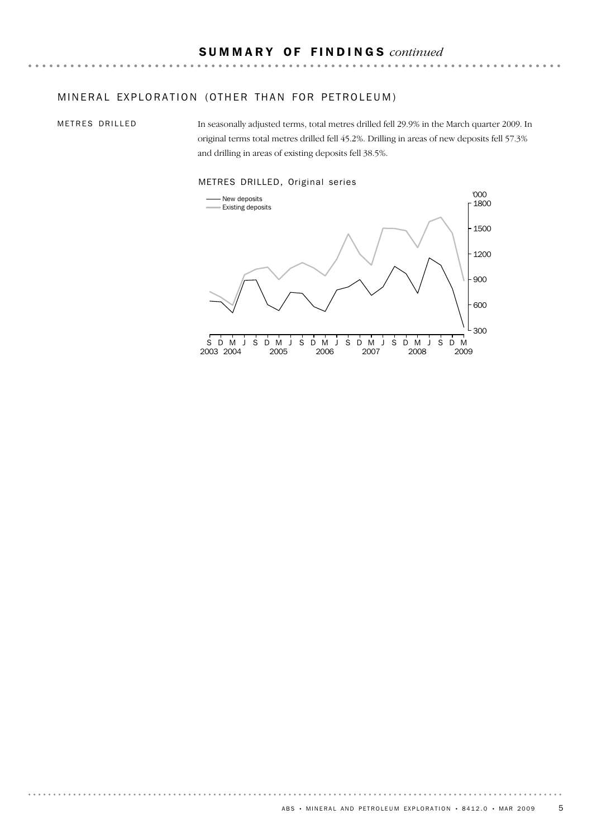### MINERAL EXPLORATION (OTHER THAN FOR PETROLEUM)

METRES DRILLED

. . . . . . . . .

In seasonally adjusted terms, total metres drilled fell 29.9% in the March quarter 2009. In original terms total metres drilled fell 45.2%. Drilling in areas of new deposits fell 57.3% and drilling in areas of existing deposits fell 38.5%.

. . . . . . . .



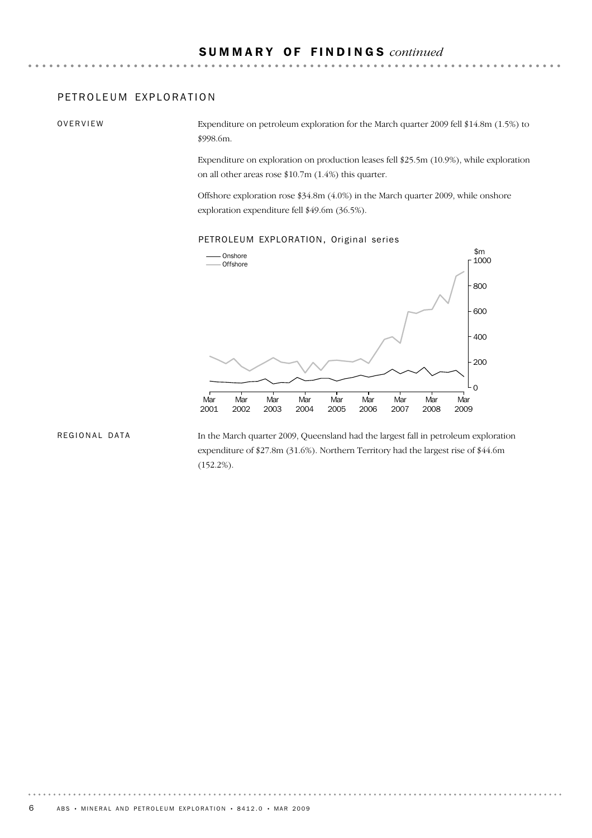#### PETROLEUM EXPLORATION

OVERVIEW

Expenditure on petroleum exploration for the March quarter 2009 fell \$14.8m (1.5%) to \$998.6m.

Expenditure on exploration on production leases fell \$25.5m (10.9%), while exploration on all other areas rose \$10.7m (1.4%) this quarter.

Offshore exploration rose \$34.8m (4.0%) in the March quarter 2009, while onshore exploration expenditure fell \$49.6m (36.5%).

#### PETROLEUM EXPLORATION, Original series



#### REGIONAL DATA

In the March quarter 2009, Queensland had the largest fall in petroleum exploration expenditure of \$27.8m (31.6%). Northern Territory had the largest rise of \$44.6m (152.2%).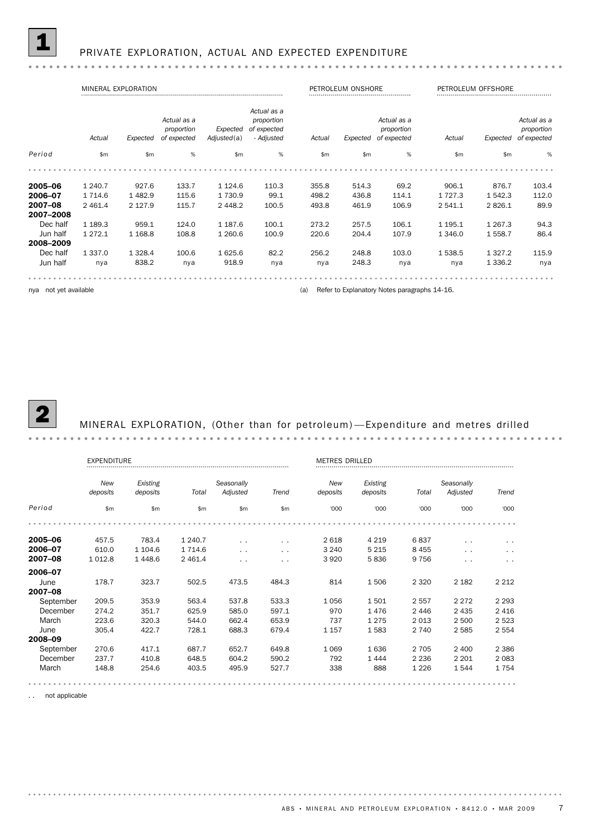#### PRIVATE EXPLORATION, ACTUAL AND EXPECTED EXPENDITURE

#### MINERAL EXPLORATION PETROLEUM ONSHORE PETROLEUM OFFSHORE PETROLEUM OFFSHORE PETROLEUM OFFSHORE *Actual as a Actual as a Actual as a Actual as a proportion proportion* Expected of expected *proportion proportion Actual Expected of expected Actual Expected of expected - Adjusted Adjusted*(a) *Actual Expected of expected Period* \$m \$m % \$m % \$m \$m % \$m \$m % **2005–06** 1 240.7 927.6 133.7 1 124.6 110.3 355.8 514.3 69.2 906.1 876.7 103.4 **2006–07** 1 714.6 1 482.9 115.6 1 730.9 99.1 498.2 436.8 114.1 1 727.3 1 542.3 112.0 **2007–08** 2 461.4 2 127.9 115.7 2 448.2 100.5 493.8 461.9 106.9 2 541.1 2 826.1 89.9 2007–2008 Dec half 1 189.3 959.1 124.0 1 187.6 100.1 273.2 257.5 106.1 1 195.1 1 267.3 94.3 Jun half 1 272.1 1 168.8 108.8 1 260.6 100.9 220.6 204.4 107.9 1 346.0 1 558.7 86.4 2008–2009 Dec half 1 337.0 1 328.4 100.6 1 625.6 82.2 256.2 248.8 103.0 1 538.5 1 327.2 115.9 Jun half nya 838.2 nya 918.9 nya nya 248.3 nya nya 1 336.2 nya

nya not yet available **(a)** Refer to Explanatory Notes paragraphs 14-16.



#### 2 MINERAL EXPLORATION, (Other than for petroleum) —Expenditure and metres drilled

|           | EXPENDITURE   |            |           |               | <b>METRES DRILLED</b> |          |          |         |               |               |
|-----------|---------------|------------|-----------|---------------|-----------------------|----------|----------|---------|---------------|---------------|
|           | New           | Existing   |           | Seasonally    |                       | New      | Existing |         | Seasonally    |               |
|           | deposits      | deposits   | Total     | Adjusted      | Trend                 | deposits | deposits | Total   | Adjusted      | Trend         |
| Period    | $\mathsf{Sm}$ | \$m        | \$m       | \$m           | $\mathsf{Sm}$         | '000     | '000     | '000    | '000          | '000          |
|           |               |            |           |               |                       |          |          |         |               |               |
| 2005-06   | 457.5         | 783.4      | 1 240.7   | $\ddotsc$     | $\sim$ $\sim$         | 2 6 18   | 4 2 1 9  | 6837    | $\ddotsc$     | $\ddotsc$     |
| 2006-07   | 610.0         | 1 1 0 4 .6 | 1 7 1 4.6 | $\sim$ $\sim$ | $\sim$ $\sim$         | 3 2 4 0  | 5 2 1 5  | 8 4 5 5 | $\ddotsc$     | $\sim$ $\sim$ |
| 2007-08   | 1 0 1 2.8     | 1448.6     | 2 4 6 1.4 | $\sim$ $\sim$ | $\sim$ $\sim$         | 3 9 2 0  | 5836     | 9 7 5 6 | $\sim$ $\sim$ | $\ddotsc$     |
| 2006-07   |               |            |           |               |                       |          |          |         |               |               |
| June      | 178.7         | 323.7      | 502.5     | 473.5         | 484.3                 | 814      | 1506     | 2 3 2 0 | 2 1 8 2       | 2 2 1 2       |
| 2007-08   |               |            |           |               |                       |          |          |         |               |               |
| September | 209.5         | 353.9      | 563.4     | 537.8         | 533.3                 | 1056     | 1501     | 2557    | 2 2 7 2       | 2 2 9 3       |
| December  | 274.2         | 351.7      | 625.9     | 585.0         | 597.1                 | 970      | 1476     | 2446    | 2 4 3 5       | 2 4 1 6       |
| March     | 223.6         | 320.3      | 544.0     | 662.4         | 653.9                 | 737      | 1 2 7 5  | 2013    | 2 500         | 2 5 2 3       |
| June      | 305.4         | 422.7      | 728.1     | 688.3         | 679.4                 | 1 1 5 7  | 1583     | 2 7 4 0 | 2 5 8 5       | 2 5 5 4       |
| 2008-09   |               |            |           |               |                       |          |          |         |               |               |
| September | 270.6         | 417.1      | 687.7     | 652.7         | 649.8                 | 1 0 6 9  | 1636     | 2 7 0 5 | 2 4 0 0       | 2 3 8 6       |
| December  | 237.7         | 410.8      | 648.5     | 604.2         | 590.2                 | 792      | 1444     | 2 2 3 6 | 2 2 0 1       | 2 0 8 3       |
| March     | 148.8         | 254.6      | 403.5     | 495.9         | 527.7                 | 338      | 888      | 1 2 2 6 | 1 5 4 4       | 1754          |
|           |               |            |           |               |                       |          |          |         |               |               |

not applicable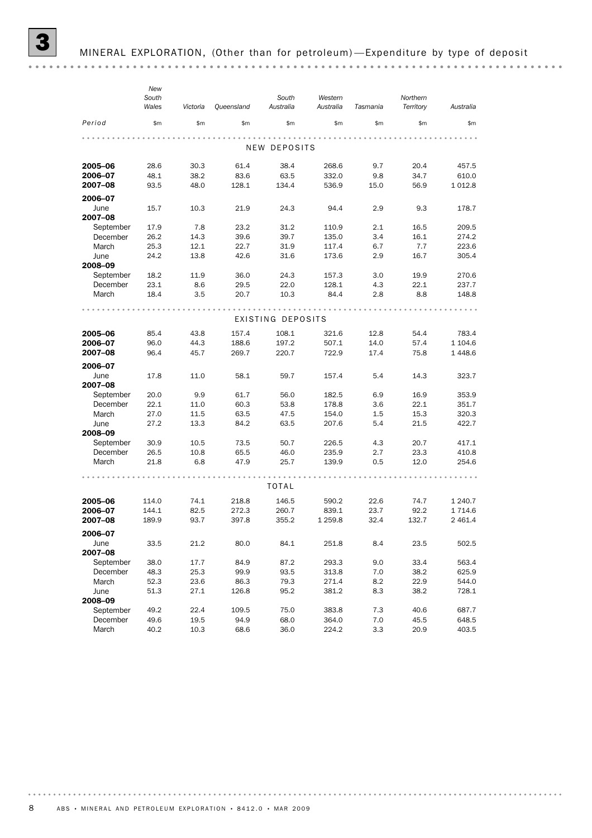*New South Western Northern South Wales Victoria Queensland Australia Australia Tasmania Territory Australia Period* \$m \$m \$m \$m \$m \$m \$m \$m . . . . . . . NEW DEPOSITS **2005–06** 28.6 30.3 61.4 38.4 268.6 9.7 20.4 457.5 **2006–07** 48.1 38.2 83.6 63.5 332.0 9.8 34.7 610.0 **2007–08** 93.5 48.0 128.1 134.4 536.9 15.0 56.9 1 012.8 2006–07 June 15.7 10.3 21.9 24.3 94.4 2.9 9.3 178.7 2007–08 September 17.9 7.8 23.2 31.2 110.9 2.1 16.5 209.5 December 26.2 14.3 39.6 39.7 135.0 3.4 16.1 274.2 March 25.3 12.1 22.7 31.9 117.4 6.7 7.7 223.6 June 24.2 13.8 42.6 31.6 173.6 2.9 16.7 305.4 2008–09 September 18.2 11.9 36.0 24.3 157.3 3.0 19.9 270.6 December 23.1 8.6 29.5 22.0 128.1 4.3 22.1 237.7 March 18.4 3.5 20.7 10.3 84.4 2.8 8.8 148.8 EXISTING DEPOSITS **2005–06** 85.4 43.8 157.4 108.1 321.6 12.8 54.4 783.4 **2006–07** 96.0 44.3 188.6 197.2 507.1 14.0 57.4 1 104.6<br>**2007–08** 96.4 45.7 269.7 220.7 722.9 17.4 75.8 1 448.6 **2007–08** 96.4 45.7 269.7 220.7 722.9 17.4 75.8 1 448.6 2006–07 June 17.8 11.0 58.1 59.7 157.4 5.4 14.3 323.7 2007–08 September 20.0 9.9 61.7 56.0 182.5 6.9 16.9 353.9 December 22.1 11.0 60.3 53.8 178.8 3.6 22.1 351.7 March 27.0 11.5 63.5 47.5 154.0 1.5 15.3 320.3 June 27.2 13.3 84.2 63.5 207.6 5.4 21.5 422.7 2008–09<br>September September 30.9 10.5 73.5 50.7 226.5 4.3 20.7 417.1 December 26.5 10.8 65.5 46.0 235.9 2.7 23.3 410.8 March 21.8 6.8 47.9 25.7 139.9 0.5 12.0 254.6 TOTAL **2005–06** 114.0 74.1 218.8 146.5 590.2 22.6 74.7 1 240.7 **2006–07** 144.1 82.5 272.3 260.7 839.1 23.7 92.2 1 714.6 **2007–08** 189.9 93.7 397.8 355.2 1 259.8 32.4 132.7 2 461.4 2006–07 June 33.5 21.2 80.0 84.1 251.8 8.4 23.5 502.5 2007–08 September 38.0 17.7 84.9 87.2 293.3 9.0 33.4 563.4 December 48.3 25.3 99.9 93.5 313.8 7.0 38.2 625.9 March 52.3 23.6 86.3 79.3 271.4 8.2 22.9 544.0 June 51.3 27.1 126.8 95.2 381.2 8.3 38.2 728.1 2008–09 September 49.2 22.4 109.5 75.0 383.8 7.3 40.6 687.7 December 49.6 19.5 94.9 68.0 364.0 7.0 45.5 648.5 March 40.2 10.3 68.6 36.0 224.2 3.3 20.9 403.5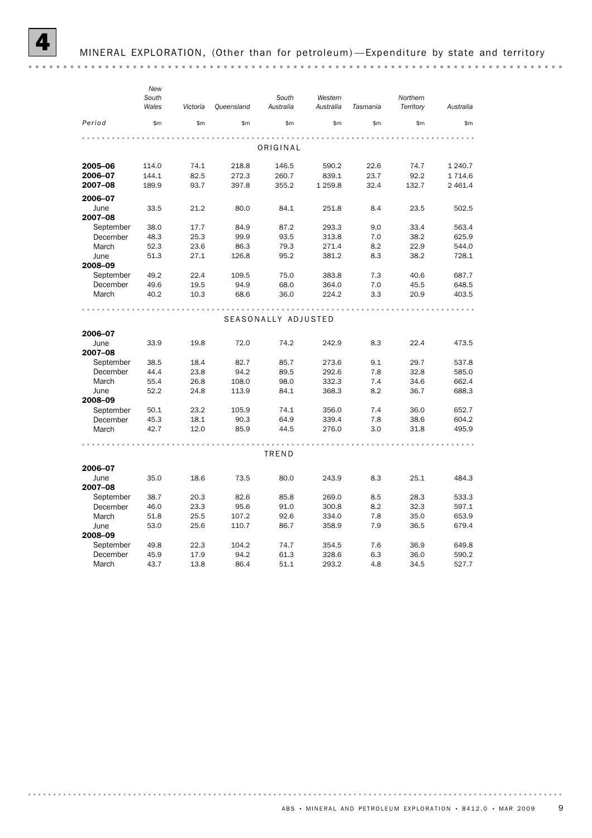|           | New   |          |            |                     |           |          |           |           |
|-----------|-------|----------|------------|---------------------|-----------|----------|-----------|-----------|
|           | South |          |            | South               | Western   |          | Northern  |           |
|           | Wales | Victoria | Queensland | Australia           | Australia | Tasmania | Territory | Australia |
| Period    | \$m   | \$m\$    | \$m        | \$m                 | \$m       | \$m      | \$m       | \$m       |
|           |       |          |            |                     |           |          |           |           |
|           |       |          |            | ORIGINAL            |           |          |           |           |
| 2005-06   | 114.0 | 74.1     | 218.8      | 146.5               | 590.2     | 22.6     | 74.7      | 1 240.7   |
| 2006-07   | 144.1 | 82.5     | 272.3      | 260.7               | 839.1     | 23.7     | 92.2      | 1714.6    |
| 2007-08   | 189.9 | 93.7     | 397.8      | 355.2               | 1 259.8   | 32.4     | 132.7     | 2 4 6 1.4 |
| 2006-07   |       |          |            |                     |           |          |           |           |
| June      | 33.5  | 21.2     | 80.0       | 84.1                | 251.8     | 8.4      | 23.5      | 502.5     |
| 2007-08   |       |          |            |                     |           |          |           |           |
| September | 38.0  | 17.7     | 84.9       | 87.2                | 293.3     | 9.0      | 33.4      | 563.4     |
| December  | 48.3  | 25.3     | 99.9       | 93.5                | 313.8     | 7.0      | 38.2      | 625.9     |
| March     | 52.3  | 23.6     | 86.3       | 79.3                | 271.4     | 8.2      | 22.9      | 544.0     |
| June      | 51.3  | 27.1     | 126.8      | 95.2                | 381.2     | 8.3      | 38.2      | 728.1     |
| 2008-09   |       |          |            |                     |           |          |           |           |
| September | 49.2  | 22.4     | 109.5      | 75.0                | 383.8     | 7.3      | 40.6      | 687.7     |
| December  | 49.6  | 19.5     | 94.9       | 68.0                | 364.0     | 7.0      | 45.5      | 648.5     |
| March     | 40.2  | 10.3     | 68.6       | 36.0                | 224.2     | 3.3      | 20.9      | 403.5     |
|           |       |          |            |                     |           |          |           |           |
|           |       |          |            | SEASONALLY ADJUSTED |           |          |           |           |
| 2006-07   |       |          |            |                     |           |          |           |           |
| June      | 33.9  | 19.8     | 72.0       | 74.2                | 242.9     | 8.3      | 22.4      | 473.5     |
| 2007-08   |       |          |            |                     |           |          |           |           |
| September | 38.5  | 18.4     | 82.7       | 85.7                | 273.6     | 9.1      | 29.7      | 537.8     |
| December  | 44.4  | 23.8     | 94.2       | 89.5                | 292.6     | 7.8      | 32.8      | 585.0     |
| March     | 55.4  | 26.8     | 108.0      | 98.0                | 332.3     | 7.4      | 34.6      | 662.4     |
| June      | 52.2  | 24.8     | 113.9      | 84.1                | 368.3     | 8.2      | 36.7      | 688.3     |
| 2008-09   |       |          |            |                     |           |          |           |           |
| September | 50.1  | 23.2     | 105.9      | 74.1                | 356.0     | 7.4      | 36.0      | 652.7     |
| December  | 45.3  | 18.1     | 90.3       | 64.9                | 339.4     | 7.8      | 38.6      | 604.2     |
| March     | 42.7  | 12.0     | 85.9       | 44.5                | 276.0     | 3.0      | 31.8      | 495.9     |
|           |       |          |            |                     |           |          |           |           |
|           |       |          |            | TREND               |           |          |           |           |
| 2006-07   |       |          |            |                     |           |          |           |           |
| June      | 35.0  | 18.6     | 73.5       | 80.0                | 243.9     | 8.3      | 25.1      | 484.3     |
| 2007-08   |       |          |            |                     |           |          |           |           |
| September | 38.7  | 20.3     | 82.6       | 85.8                | 269.0     | 8.5      | 28.3      | 533.3     |
| December  | 46.0  | 23.3     | 95.6       | 91.0                | 300.8     | 8.2      | 32.3      | 597.1     |
| March     | 51.8  | 25.5     | 107.2      | 92.6                | 334.0     | 7.8      | 35.0      | 653.9     |
| June      | 53.0  | 25.6     | 110.7      | 86.7                | 358.9     | 7.9      | 36.5      | 679.4     |
| 2008-09   |       |          |            |                     |           |          |           |           |
| September | 49.8  | 22.3     | 104.2      | 74.7                | 354.5     | 7.6      | 36.9      | 649.8     |
| December  | 45.9  | 17.9     | 94.2       | 61.3                | 328.6     | 6.3      | 36.0      | 590.2     |
| March     | 43.7  | 13.8     | 86.4       | 51.1                | 293.2     | 4.8      | 34.5      | 527.7     |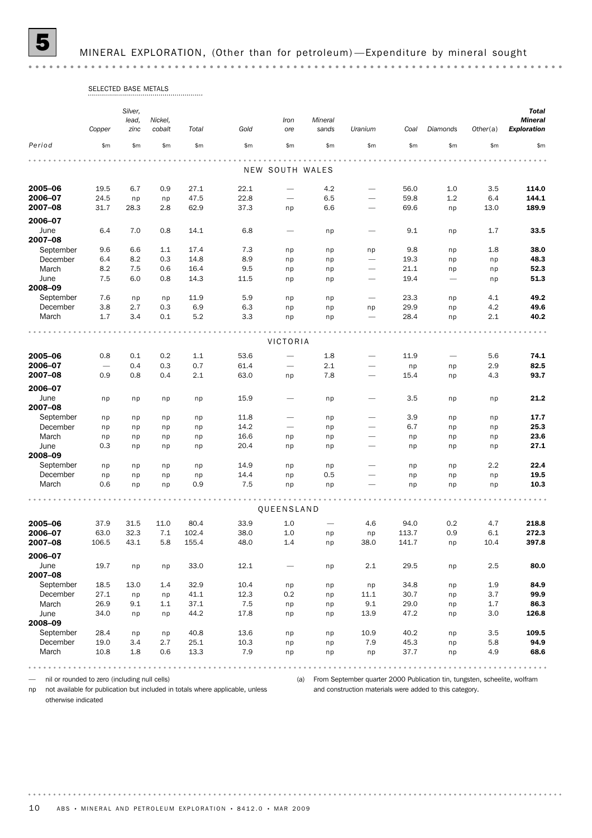5 MINERAL EXPLORATION, (Other than for petroleum) —Expenditure by mineral sought

# SELECTED BASE METALS

|                    | Copper       | Silver,<br>lead,<br>zinc | Nickel,<br>cobalt | Total         | Gold         | Iron<br>ore                  | Mineral<br>sands         | Uranium                      | Coal          | Diamonds   | Other(a)   | <b>Total</b><br><b>Mineral</b><br><b>Exploration</b> |
|--------------------|--------------|--------------------------|-------------------|---------------|--------------|------------------------------|--------------------------|------------------------------|---------------|------------|------------|------------------------------------------------------|
| Period             | \$m          | \$m                      | \$m\$             | \$m\$         | \$m          | \$m\$                        | \$m\$                    | \$m\$                        | \$m           | \$m\$      | \$m        | \$m                                                  |
|                    |              |                          |                   |               |              |                              |                          |                              |               |            |            |                                                      |
|                    |              |                          |                   |               |              | NEW SOUTH WALES              |                          |                              |               |            |            |                                                      |
| 2005-06            | 19.5         | 6.7                      | 0.9               | 27.1          | 22.1         |                              | 4.2                      | $\overline{\phantom{0}}$     | 56.0          | 1.0        | 3.5        | 114.0                                                |
| 2006-07            | 24.5         | np                       | np                | 47.5          | 22.8         |                              | 6.5                      |                              | 59.8          | 1.2        | 6.4        | 144.1                                                |
| 2007-08            | 31.7         | 28.3                     | 2.8               | 62.9          | 37.3         | np                           | 6.6                      | $\overline{\phantom{0}}$     | 69.6          | np         | 13.0       | 189.9                                                |
| 2006-07            |              |                          |                   |               |              |                              |                          |                              |               |            |            |                                                      |
| June<br>2007-08    | 6.4          | 7.0                      | 0.8               | 14.1          | 6.8          |                              | np                       |                              | 9.1           | np         | 1.7        | 33.5                                                 |
| September          | 9.6          | 6.6                      | 1.1               | 17.4          | 7.3          | np                           | np                       | np                           | 9.8           | np         | 1.8        | 38.0                                                 |
| December           | 6.4          | 8.2                      | 0.3               | 14.8          | 8.9          | np                           | np                       |                              | 19.3          | np         | np         | 48.3                                                 |
| March              | 8.2          | 7.5                      | 0.6               | 16.4          | 9.5          | np                           | np                       |                              | 21.1          | np         | np         | 52.3                                                 |
| June<br>2008-09    | 7.5          | 6.0                      | 0.8               | 14.3          | 11.5         | np                           | np                       |                              | 19.4          |            | np         | 51.3                                                 |
| September          | 7.6          | np                       | np                | 11.9          | 5.9          | np                           | np                       | $\overline{\phantom{m}}$     | 23.3          | np         | 4.1        | 49.2                                                 |
| December           | 3.8          | 2.7                      | 0.3               | 6.9           | 6.3          | np                           | np                       | np                           | 29.9          | np         | 4.2        | 49.6                                                 |
| March              | 1.7          | 3.4                      | 0.1               | 5.2           | 3.3          | np                           | np                       | $\overline{\phantom{m}}$     | 28.4          | np         | 2.1        | 40.2                                                 |
|                    |              |                          |                   |               |              |                              |                          |                              |               |            |            |                                                      |
|                    |              |                          |                   |               |              | VICTORIA                     |                          |                              |               |            |            |                                                      |
| 2005-06            | 0.8          | 0.1                      | 0.2               | 1.1           | 53.6         |                              | 1.8                      |                              | 11.9          |            | 5.6        | 74.1                                                 |
| 2006-07            |              | 0.4                      | 0.3               | 0.7           | 61.4         |                              | 2.1                      |                              | np            | np         | 2.9        | 82.5                                                 |
| 2007-08            | 0.9          | 0.8                      | 0.4               | 2.1           | 63.0         | np                           | 7.8                      | $\overbrace{\qquad \qquad }$ | 15.4          | np         | 4.3        | 93.7                                                 |
| 2006-07            |              |                          |                   |               |              |                              |                          |                              |               |            |            |                                                      |
| June<br>2007-08    | np           | np                       | np                | np            | 15.9         |                              | np                       | $\overline{\phantom{0}}$     | 3.5           | np         | np         | 21.2                                                 |
| September          | np           | np                       | np                | np            | 11.8         |                              | np                       | $\qquad \qquad$              | 3.9           | np         | np         | 17.7                                                 |
| December           | np           | np                       | np                | np            | 14.2         | $\overbrace{\qquad \qquad }$ | np                       | $\overline{\phantom{0}}$     | 6.7           | np         | np         | 25.3                                                 |
| March              | np           | np                       | np                | np            | 16.6         | np                           | np                       | $\overline{\phantom{0}}$     | np            | np         | np         | 23.6                                                 |
| June<br>2008-09    | 0.3          | np                       | np                | np            | 20.4         | np                           | np                       |                              | np            | np         | np         | 27.1                                                 |
| September          | np           | np                       | np                | np            | 14.9         | np                           | np                       | $\overline{\phantom{0}}$     | np            | np         | 2.2        | 22.4                                                 |
| December           | np           | np                       | np                | np            | 14.4         | np                           | 0.5                      |                              | np            | np         | np         | 19.5                                                 |
| March              | 0.6          | np                       | np                | 0.9           | 7.5          | np                           | np                       |                              | np            | np         | np         | 10.3                                                 |
|                    |              |                          |                   |               |              | QUEENSLAND                   |                          |                              |               |            |            |                                                      |
|                    |              |                          |                   |               |              |                              |                          |                              |               |            |            |                                                      |
| 2005-06<br>2006-07 | 37.9<br>63.0 | 31.5<br>32.3             | 11.0<br>7.1       | 80.4<br>102.4 | 33.9<br>38.0 | 1.0<br>1.0                   | $\overline{\phantom{0}}$ | 4.6                          | 94.0<br>113.7 | 0.2<br>0.9 | 4.7<br>6.1 | 218.8<br>272.3                                       |
| 2007-08            | 106.5        | 43.1                     | 5.8               | 155.4         | 48.0         | 1.4                          | np<br>np                 | np<br>38.0                   | 141.7         | np         | 10.4       | 397.8                                                |
| 2006-07            |              |                          |                   |               |              |                              |                          |                              |               |            |            |                                                      |
| June<br>2007-08    | 19.7         | np                       | np                | 33.0          | 12.1         |                              | np                       | 2.1                          | 29.5          | np         | 2.5        | 80.0                                                 |
| September          | 18.5         | 13.0                     | 1.4               | 32.9          | 10.4         | np                           | np                       | np                           | 34.8          | np         | 1.9        | 84.9                                                 |
| December           | 27.1         | np                       | np                | 41.1          | 12.3         | 0.2                          | np                       | 11.1                         | 30.7          | np         | 3.7        | 99.9                                                 |
| March              | 26.9         | 9.1                      | 1.1               | 37.1          | 7.5          | np                           | np                       | 9.1                          | 29.0          | np         | 1.7        | 86.3                                                 |
| June<br>2008-09    | 34.0         | np                       | np                | 44.2          | 17.8         | np                           | np                       | 13.9                         | 47.2          | np         | 3.0        | 126.8                                                |
| September          | 28.4         | np                       | np                | 40.8          | 13.6         | np                           | np                       | 10.9                         | 40.2          | np         | 3.5        | 109.5                                                |
| December           | 19.0         | 3.4                      | 2.7               | 25.1          | 10.3         | np                           | np                       | 7.9                          | 45.3          | np         | 5.8        | 94.9                                                 |
| March              | 10.8         | 1.8                      | 0.6               | 13.3          | 7.9          | np                           | np                       | np                           | 37.7          | np         | 4.9        | 68.6                                                 |
|                    |              |                          |                   |               |              |                              |                          |                              |               |            |            | .                                                    |

— nil or rounded to zero (including null cells)

np not available for publication but included in totals where applicable, unless

(a) From September quarter 2000 Publication tin, tungsten, scheelite, wolfram and construction materials were added to this category.

otherwise indicated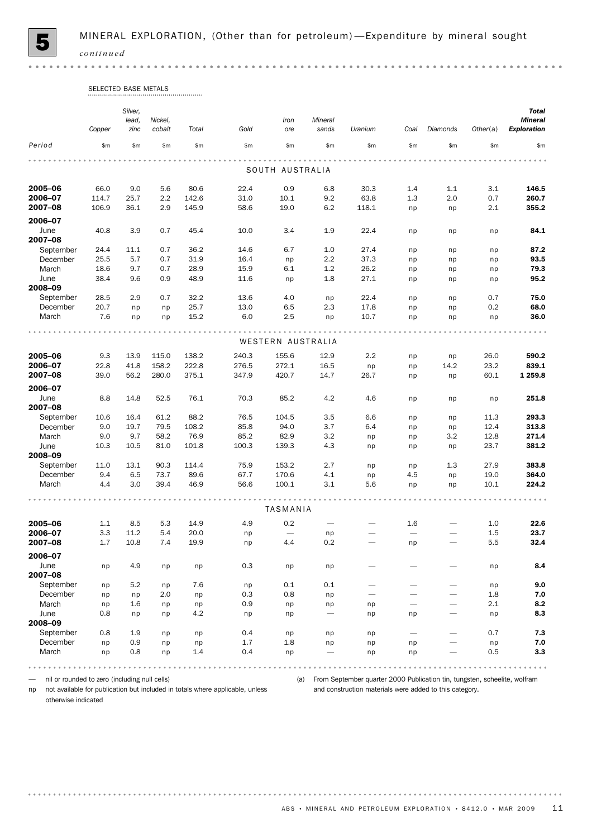

 $\bullet$   $\bullet$ 

# SELECTED BASE METALS

|                 | Copper | Silver,<br>lead,<br>zinc | Nickel,<br>cobalt | Total | Gold  | Iron<br>ore              | Mineral<br>sands | Uranium                  | Coal                     | Diamonds                 | Other(a) | <b>Total</b><br><b>Mineral</b><br><b>Exploration</b> |
|-----------------|--------|--------------------------|-------------------|-------|-------|--------------------------|------------------|--------------------------|--------------------------|--------------------------|----------|------------------------------------------------------|
| Period          | \$m\$  | \$m\$                    | \$m\$             | \$m\$ | \$m\$ | \$m\$                    | \$m\$            | \$m\$                    | \$m\$                    | \$m\$                    | \$m      | \$m\$                                                |
|                 |        |                          |                   |       |       |                          |                  |                          |                          |                          |          |                                                      |
|                 |        |                          |                   |       |       | SOUTH AUSTRALIA          |                  |                          |                          |                          |          |                                                      |
| 2005-06         | 66.0   | 9.0                      | 5.6               | 80.6  | 22.4  | 0.9                      | 6.8              | 30.3                     | 1.4                      | 1.1                      | 3.1      | 146.5                                                |
| 2006-07         | 114.7  | 25.7                     | 2.2               | 142.6 | 31.0  | 10.1                     | 9.2              | 63.8                     | 1.3                      | 2.0                      | 0.7      | 260.7                                                |
| 2007-08         | 106.9  | 36.1                     | 2.9               | 145.9 | 58.6  | 19.0                     | 6.2              | 118.1                    | np                       | np                       | 2.1      | 355.2                                                |
| 2006-07         |        |                          |                   |       |       |                          |                  |                          |                          |                          |          |                                                      |
| June<br>2007-08 | 40.8   | 3.9                      | 0.7               | 45.4  | 10.0  | 3.4                      | 1.9              | 22.4                     | np                       | np                       | np       | 84.1                                                 |
| September       | 24.4   | 11.1                     | 0.7               | 36.2  | 14.6  | 6.7                      | 1.0              | 27.4                     | np                       | np                       | np       | 87.2                                                 |
| December        | 25.5   | 5.7                      | 0.7               | 31.9  | 16.4  | np                       | 2.2              | 37.3                     | np                       | np                       | np       | 93.5                                                 |
| March           | 18.6   | 9.7                      | 0.7               | 28.9  | 15.9  | 6.1                      | 1.2              | 26.2                     | np                       | np                       | np       | 79.3                                                 |
| June<br>2008-09 | 38.4   | 9.6                      | 0.9               | 48.9  | 11.6  | np                       | 1.8              | 27.1                     | np                       | np                       | np       | 95.2                                                 |
| September       | 28.5   | 2.9                      | 0.7               | 32.2  | 13.6  | 4.0                      | np               | 22.4                     | np                       | np                       | 0.7      | 75.0                                                 |
| December        | 20.7   | np                       | np                | 25.7  | 13.0  | 6.5                      | 2.3              | 17.8                     | np                       | np                       | 0.2      | 68.0                                                 |
| March           | 7.6    | np                       | np                | 15.2  | 6.0   | 2.5                      | np               | 10.7                     | np                       | np                       | np       | 36.0                                                 |
|                 |        |                          |                   |       |       |                          |                  |                          |                          |                          |          |                                                      |
|                 |        |                          |                   |       |       | WESTERN AUSTRALIA        |                  |                          |                          |                          |          |                                                      |
| 2005-06         | 9.3    | 13.9                     | 115.0             | 138.2 | 240.3 | 155.6                    | 12.9             | 2.2                      | np                       | np                       | 26.0     | 590.2                                                |
| 2006-07         | 22.8   | 41.8                     | 158.2             | 222.8 | 276.5 | 272.1                    | 16.5             | np                       | np                       | 14.2                     | 23.2     | 839.1                                                |
| 2007-08         | 39.0   | 56.2                     | 280.0             | 375.1 | 347.9 | 420.7                    | 14.7             | 26.7                     | np                       | np                       | 60.1     | 1 2 5 9.8                                            |
| 2006-07         |        |                          |                   |       |       |                          |                  |                          |                          |                          |          |                                                      |
| June<br>2007-08 | 8.8    | 14.8                     | 52.5              | 76.1  | 70.3  | 85.2                     | 4.2              | 4.6                      | np                       | np                       | np       | 251.8                                                |
| September       | 10.6   | 16.4                     | 61.2              | 88.2  | 76.5  | 104.5                    | 3.5              | 6.6                      | np                       | np                       | 11.3     | 293.3                                                |
| December        | 9.0    | 19.7                     | 79.5              | 108.2 | 85.8  | 94.0                     | 3.7              | 6.4                      | np                       | np                       | 12.4     | 313.8                                                |
| March           | 9.0    | 9.7                      | 58.2              | 76.9  | 85.2  | 82.9                     | 3.2              | np                       | np                       | 3.2                      | 12.8     | 271.4                                                |
| June<br>2008-09 | 10.3   | 10.5                     | 81.0              | 101.8 | 100.3 | 139.3                    | 4.3              | np                       | np                       | np                       | 23.7     | 381.2                                                |
| September       | 11.0   | 13.1                     | 90.3              | 114.4 | 75.9  | 153.2                    | 2.7              | np                       | np                       | 1.3                      | 27.9     | 383.8                                                |
| December        | 9.4    | 6.5                      | 73.7              | 89.6  | 67.7  | 170.6                    | 4.1              | np                       | 4.5                      | np                       | 19.0     | 364.0                                                |
| March           | 4.4    | 3.0                      | 39.4              | 46.9  | 56.6  | 100.1                    | 3.1              | 5.6                      | np                       | np                       | 10.1     | 224.2                                                |
|                 |        |                          |                   |       |       | TASMANIA                 |                  |                          |                          |                          |          |                                                      |
| 2005-06         | 1.1    | 8.5                      | 5.3               | 14.9  | 4.9   | 0.2                      | $\qquad \qquad$  |                          | 1.6                      | $\overline{\phantom{0}}$ | 1.0      | 22.6                                                 |
| 2006-07         | 3.3    | 11.2                     | 5.4               | 20.0  | np    | $\overline{\phantom{m}}$ | np               |                          | $\overline{\phantom{0}}$ |                          | 1.5      | 23.7                                                 |
| 2007-08         | 1.7    | 10.8                     | 7.4               | 19.9  | np    | 4.4                      | 0.2              | $\overline{\phantom{0}}$ | np                       |                          | 5.5      | 32.4                                                 |
| 2006-07         |        |                          |                   |       |       |                          |                  |                          |                          |                          |          |                                                      |
| June<br>2007-08 | np     | 4.9                      | np                | np    | 0.3   | np                       | np               |                          |                          |                          | np       | 8.4                                                  |
| September       | np     | 5.2                      | np                | 7.6   | np    | 0.1                      | 0.1              |                          |                          |                          | np       | 9.0                                                  |
| December        | np     | np                       | 2.0               | np    | 0.3   | 0.8                      | np               |                          |                          | $\overline{\phantom{0}}$ | $1.8\,$  | 7.0                                                  |
| March           | np     | 1.6                      | np                | np    | 0.9   | np                       | np               | np                       |                          | $\overline{\phantom{0}}$ | 2.1      | 8.2                                                  |
| June<br>2008-09 | 0.8    | np                       | np                | 4.2   | np    | np                       | $\qquad \qquad$  | np                       | np                       | $\overline{\phantom{0}}$ | np       | 8.3                                                  |
| September       | 0.8    | 1.9                      | np                | np    | 0.4   | np                       | np               | np                       |                          |                          | 0.7      | 7.3                                                  |
| December        | np     | 0.9                      | np                | np    | 1.7   | 1.8                      | np               | np                       | np                       |                          | np       | 7.0                                                  |
| March           | np     | 0.8                      | np                | 1.4   | 0.4   | np                       | $\qquad \qquad$  | np                       | np                       |                          | 0.5      | 3.3                                                  |
|                 |        |                          |                   |       |       |                          |                  |                          |                          |                          |          |                                                      |

— nil or rounded to zero (including null cells)

np not available for publication but included in totals where applicable, unless

(a) From September quarter 2000 Publication tin, tungsten, scheelite, wolfram and construction materials were added to this category.

otherwise indicated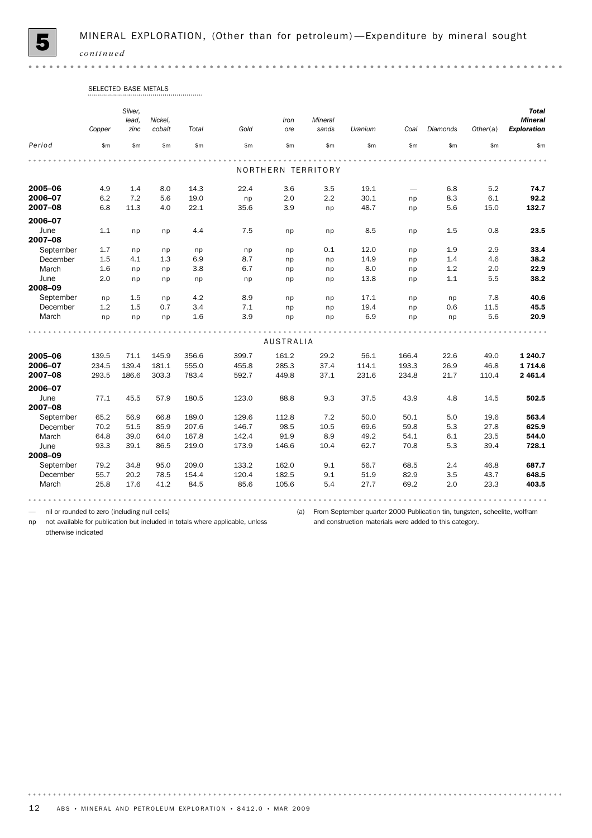

 $0.000$ 

# SELECTED BASE METALS

|           |        | Silver, |         |       |       |                    |         |         |                                 |          |          | <b>Total</b>       |
|-----------|--------|---------|---------|-------|-------|--------------------|---------|---------|---------------------------------|----------|----------|--------------------|
|           |        | lead,   | Nickel, |       |       | Iron               | Mineral |         |                                 |          |          | <b>Mineral</b>     |
|           | Copper | zinc    | cobalt  | Total | Gold  | ore                | sands   | Uranium | Coal                            | Diamonds | Other(a) | <b>Exploration</b> |
| Period    | \$m    | \$m     | \$m\$   | \$m\$ | \$m\$ | \$m\$              | \$m\$   | \$m\$   | \$m                             | \$m\$    | \$m\$    | \$m                |
|           |        |         |         |       |       |                    |         |         |                                 |          |          |                    |
|           |        |         |         |       |       | NORTHERN TERRITORY |         |         |                                 |          |          |                    |
| 2005-06   | 4.9    | 1.4     | 8.0     | 14.3  | 22.4  | 3.6                | 3.5     | 19.1    | $\overbrace{\phantom{1232211}}$ | 6.8      | 5.2      | 74.7               |
| 2006-07   | 6.2    | 7.2     | 5.6     | 19.0  | np    | 2.0                | 2.2     | 30.1    | np                              | 8.3      | 6.1      | 92.2               |
| 2007-08   | 6.8    | 11.3    | 4.0     | 22.1  | 35.6  | 3.9                | np      | 48.7    | np                              | 5.6      | 15.0     | 132.7              |
| 2006-07   |        |         |         |       |       |                    |         |         |                                 |          |          |                    |
| June      | 1.1    | np      | np      | 4.4   | 7.5   | np                 | np      | 8.5     | np                              | 1.5      | 0.8      | 23.5               |
| 2007-08   |        |         |         |       |       |                    |         |         |                                 |          |          |                    |
| September | 1.7    | np      | np      | np    | np    | np                 | 0.1     | 12.0    | np                              | 1.9      | 2.9      | 33.4               |
| December  | 1.5    | 4.1     | 1.3     | 6.9   | 8.7   | np                 | np      | 14.9    | np                              | 1.4      | 4.6      | 38.2               |
| March     | 1.6    | np      | np      | 3.8   | 6.7   | np                 | np      | 8.0     | np                              | 1.2      | 2.0      | 22.9               |
| June      | 2.0    | np      | np      | np    | np    | np                 | np      | 13.8    | np                              | 1.1      | 5.5      | 38.2               |
| 2008-09   |        |         |         |       |       |                    |         |         |                                 |          |          |                    |
| September | np     | 1.5     | np      | 4.2   | 8.9   | np                 | np      | 17.1    | np                              | np       | 7.8      | 40.6               |
| December  | 1.2    | 1.5     | 0.7     | 3.4   | 7.1   | np                 | np      | 19.4    | np                              | 0.6      | 11.5     | 45.5               |
| March     | np     | np      | np      | 1.6   | 3.9   | np                 | np      | 6.9     | np                              | np       | 5.6      | 20.9               |
|           |        |         |         |       |       |                    |         |         |                                 |          |          |                    |
|           |        |         |         |       |       | <b>AUSTRALIA</b>   |         |         |                                 |          |          |                    |
| 2005-06   | 139.5  | 71.1    | 145.9   | 356.6 | 399.7 | 161.2              | 29.2    | 56.1    | 166.4                           | 22.6     | 49.0     | 1 240.7            |
| 2006-07   | 234.5  | 139.4   | 181.1   | 555.0 | 455.8 | 285.3              | 37.4    | 114.1   | 193.3                           | 26.9     | 46.8     | 1714.6             |
| 2007-08   | 293.5  | 186.6   | 303.3   | 783.4 | 592.7 | 449.8              | 37.1    | 231.6   | 234.8                           | 21.7     | 110.4    | 2 4 6 1.4          |
| 2006-07   |        |         |         |       |       |                    |         |         |                                 |          |          |                    |
| June      | 77.1   | 45.5    | 57.9    | 180.5 | 123.0 | 88.8               | 9.3     | 37.5    | 43.9                            | 4.8      | 14.5     | 502.5              |
| 2007-08   |        |         |         |       |       |                    |         |         |                                 |          |          |                    |
| September | 65.2   | 56.9    | 66.8    | 189.0 | 129.6 | 112.8              | 7.2     | 50.0    | 50.1                            | 5.0      | 19.6     | 563.4              |
| December  | 70.2   | 51.5    | 85.9    | 207.6 | 146.7 | 98.5               | 10.5    | 69.6    | 59.8                            | 5.3      | 27.8     | 625.9              |
| March     | 64.8   | 39.0    | 64.0    | 167.8 | 142.4 | 91.9               | 8.9     | 49.2    | 54.1                            | 6.1      | 23.5     | 544.0              |
| June      | 93.3   | 39.1    | 86.5    | 219.0 | 173.9 | 146.6              | 10.4    | 62.7    | 70.8                            | 5.3      | 39.4     | 728.1              |
| 2008-09   |        |         |         |       |       |                    |         |         |                                 |          |          |                    |
| September | 79.2   | 34.8    | 95.0    | 209.0 | 133.2 | 162.0              | 9.1     | 56.7    | 68.5                            | 2.4      | 46.8     | 687.7              |
| December  | 55.7   | 20.2    | 78.5    | 154.4 | 120.4 | 182.5              | 9.1     | 51.9    | 82.9                            | 3.5      | 43.7     | 648.5              |
| March     | 25.8   | 17.6    | 41.2    | 84.5  | 85.6  | 105.6              | 5.4     | 27.7    | 69.2                            | 2.0      | 23.3     | 403.5              |
|           |        |         |         |       |       |                    |         |         |                                 |          |          |                    |

— nil or rounded to zero (including null cells)

(a) From September quarter 2000 Publication tin, tungsten, scheelite, wolfram and construction materials were added to this category.

np not available for publication but included in totals where applicable, unless otherwise indicated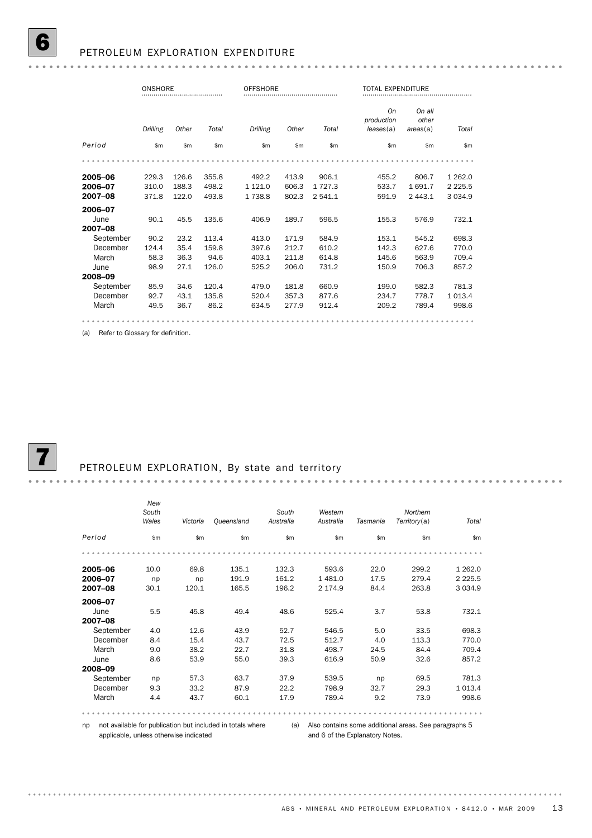|                               | ONSHORE<br>             |                         |                         | <b>OFFSHORE</b>               |                         |                                |                                      | TOTAL EXPENDITURE              |                                         |  |  |
|-------------------------------|-------------------------|-------------------------|-------------------------|-------------------------------|-------------------------|--------------------------------|--------------------------------------|--------------------------------|-----------------------------------------|--|--|
|                               | Drilling                | Other                   | Total                   | Drilling                      | Other                   | Total                          | <b>On</b><br>production<br>leases(a) | On all<br>other<br>areas(a)    | Total                                   |  |  |
| Period                        | \$m                     | \$m                     | \$m                     | \$m                           | \$m                     | \$m\$                          | \$m\$                                | \$m                            | \$m                                     |  |  |
|                               |                         |                         |                         |                               |                         |                                |                                      |                                |                                         |  |  |
| 2005-06<br>2006-07<br>2007-08 | 229.3<br>310.0<br>371.8 | 126.6<br>188.3<br>122.0 | 355.8<br>498.2<br>493.8 | 492.2<br>1 1 2 1 .0<br>1738.8 | 413.9<br>606.3<br>802.3 | 906.1<br>1 7 2 7 .3<br>2 541.1 | 455.2<br>533.7<br>591.9              | 806.7<br>1691.7<br>2 4 4 3 . 1 | 1 2 6 2 . 0<br>2 2 2 5 .5<br>3 0 3 4 .9 |  |  |
| 2006-07                       |                         |                         |                         |                               |                         |                                |                                      |                                |                                         |  |  |
| June<br>2007-08               | 90.1                    | 45.5                    | 135.6                   | 406.9                         | 189.7                   | 596.5                          | 155.3                                | 576.9                          | 732.1                                   |  |  |
| September                     | 90.2                    | 23.2                    | 113.4                   | 413.0                         | 171.9                   | 584.9                          | 153.1                                | 545.2                          | 698.3                                   |  |  |
| December                      | 124.4                   | 35.4                    | 159.8                   | 397.6                         | 212.7                   | 610.2                          | 142.3                                | 627.6                          | 770.0                                   |  |  |
| March                         | 58.3                    | 36.3                    | 94.6                    | 403.1                         | 211.8                   | 614.8                          | 145.6                                | 563.9                          | 709.4                                   |  |  |
| June                          | 98.9                    | 27.1                    | 126.0                   | 525.2                         | 206.0                   | 731.2                          | 150.9                                | 706.3                          | 857.2                                   |  |  |
| 2008-09                       |                         |                         |                         |                               |                         |                                |                                      |                                |                                         |  |  |
| September                     | 85.9                    | 34.6                    | 120.4                   | 479.0                         | 181.8                   | 660.9                          | 199.0                                | 582.3                          | 781.3                                   |  |  |
| December                      | 92.7                    | 43.1                    | 135.8                   | 520.4                         | 357.3                   | 877.6                          | 234.7                                | 778.7                          | 1 0 1 3.4                               |  |  |
| March                         | 49.5                    | 36.7                    | 86.2                    | 634.5                         | 277.9                   | 912.4                          | 209.2                                | 789.4                          | 998.6                                   |  |  |
|                               |                         |                         |                         |                               |                         |                                |                                      |                                |                                         |  |  |

(a) Refer to Glossary for definition.



. . . . . . . . . . . . . . . . . . . .

#### PETROLEUM EXPLORATION, By state and territory

|           | New<br>South<br>Wales | Victoria | Queensland | South<br>Australia | Western<br>Australia | Tasmania | Northern<br>Territory(a) | Total      |
|-----------|-----------------------|----------|------------|--------------------|----------------------|----------|--------------------------|------------|
|           |                       |          |            |                    |                      |          |                          |            |
| Period    | \$m\$                 | \$m\$    | \$m\$      | \$m\$              | \$m                  | \$m      | \$m\$                    | \$m        |
|           |                       |          |            |                    |                      |          |                          |            |
| 2005-06   | 10.0                  | 69.8     | 135.1      | 132.3              | 593.6                | 22.0     | 299.2                    | 1 2 6 2.0  |
| 2006-07   | np                    | np       | 191.9      | 161.2              | 1481.0               | 17.5     | 279.4                    | 2 2 2 5 .5 |
| 2007-08   | 30.1                  | 120.1    | 165.5      | 196.2              | 2 174.9              | 84.4     | 263.8                    | 3 0 3 4 .9 |
| 2006-07   |                       |          |            |                    |                      |          |                          |            |
| June      | 5.5                   | 45.8     | 49.4       | 48.6               | 525.4                | 3.7      | 53.8                     | 732.1      |
| 2007-08   |                       |          |            |                    |                      |          |                          |            |
| September | 4.0                   | 12.6     | 43.9       | 52.7               | 546.5                | 5.0      | 33.5                     | 698.3      |
| December  | 8.4                   | 15.4     | 43.7       | 72.5               | 512.7                | 4.0      | 113.3                    | 770.0      |
| March     | 9.0                   | 38.2     | 22.7       | 31.8               | 498.7                | 24.5     | 84.4                     | 709.4      |
| June      | 8.6                   | 53.9     | 55.0       | 39.3               | 616.9                | 50.9     | 32.6                     | 857.2      |
| 2008-09   |                       |          |            |                    |                      |          |                          |            |
| September | np                    | 57.3     | 63.7       | 37.9               | 539.5                | np       | 69.5                     | 781.3      |
| December  | 9.3                   | 33.2     | 87.9       | 22.2               | 798.9                | 32.7     | 29.3                     | 1013.4     |
| March     | 4.4                   | 43.7     | 60.1       | 17.9               | 789.4                | 9.2      | 73.9                     | 998.6      |
|           |                       |          |            |                    |                      |          |                          |            |

 $0.000$ 

np not available for publication but included in totals where applicable, unless otherwise indicated

(a) Also contains some additional areas. See paragraphs 5 and 6 of the Explanatory Notes.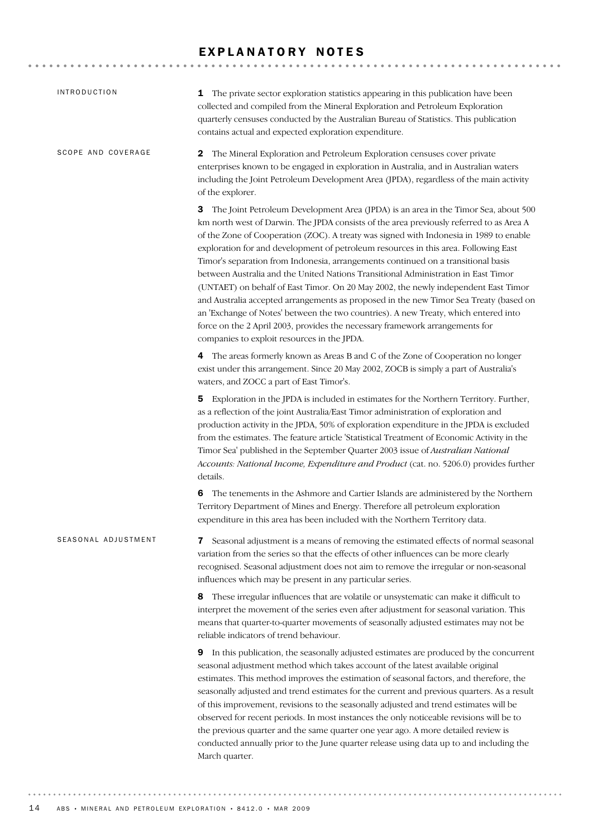## EXPLANATORY NOTES

| <b>INTRODUCTION</b> | The private sector exploration statistics appearing in this publication have been<br>1<br>collected and compiled from the Mineral Exploration and Petroleum Exploration<br>quarterly censuses conducted by the Australian Bureau of Statistics. This publication<br>contains actual and expected exploration expenditure.                                                                                                                                                                                                                                                                                                                                                                                                                                                                                                                                                                                                                        |
|---------------------|--------------------------------------------------------------------------------------------------------------------------------------------------------------------------------------------------------------------------------------------------------------------------------------------------------------------------------------------------------------------------------------------------------------------------------------------------------------------------------------------------------------------------------------------------------------------------------------------------------------------------------------------------------------------------------------------------------------------------------------------------------------------------------------------------------------------------------------------------------------------------------------------------------------------------------------------------|
| SCOPE AND COVERAGE  | The Mineral Exploration and Petroleum Exploration censuses cover private<br>2<br>enterprises known to be engaged in exploration in Australia, and in Australian waters<br>including the Joint Petroleum Development Area (JPDA), regardless of the main activity<br>of the explorer.                                                                                                                                                                                                                                                                                                                                                                                                                                                                                                                                                                                                                                                             |
|                     | 3 The Joint Petroleum Development Area (JPDA) is an area in the Timor Sea, about 500<br>km north west of Darwin. The JPDA consists of the area previously referred to as Area A<br>of the Zone of Cooperation (ZOC). A treaty was signed with Indonesia in 1989 to enable<br>exploration for and development of petroleum resources in this area. Following East<br>Timor's separation from Indonesia, arrangements continued on a transitional basis<br>between Australia and the United Nations Transitional Administration in East Timor<br>(UNTAET) on behalf of East Timor. On 20 May 2002, the newly independent East Timor<br>and Australia accepted arrangements as proposed in the new Timor Sea Treaty (based on<br>an 'Exchange of Notes' between the two countries). A new Treaty, which entered into<br>force on the 2 April 2003, provides the necessary framework arrangements for<br>companies to exploit resources in the JPDA. |
|                     | 4 The areas formerly known as Areas B and C of the Zone of Cooperation no longer<br>exist under this arrangement. Since 20 May 2002, ZOCB is simply a part of Australia's<br>waters, and ZOCC a part of East Timor's.                                                                                                                                                                                                                                                                                                                                                                                                                                                                                                                                                                                                                                                                                                                            |
|                     | 5 Exploration in the JPDA is included in estimates for the Northern Territory. Further,<br>as a reflection of the joint Australia/East Timor administration of exploration and<br>production activity in the JPDA, 50% of exploration expenditure in the JPDA is excluded<br>from the estimates. The feature article 'Statistical Treatment of Economic Activity in the<br>Timor Sea' published in the September Quarter 2003 issue of Australian National<br>Accounts: National Income, Expenditure and Product (cat. no. 5206.0) provides further<br>details.                                                                                                                                                                                                                                                                                                                                                                                  |
|                     | The tenements in the Ashmore and Cartier Islands are administered by the Northern<br>6<br>Territory Department of Mines and Energy. Therefore all petroleum exploration<br>expenditure in this area has been included with the Northern Territory data.                                                                                                                                                                                                                                                                                                                                                                                                                                                                                                                                                                                                                                                                                          |
| SEASONAL ADJUSTMENT | Seasonal adjustment is a means of removing the estimated effects of normal seasonal<br>7<br>variation from the series so that the effects of other influences can be more clearly<br>recognised. Seasonal adjustment does not aim to remove the irregular or non-seasonal<br>influences which may be present in any particular series.                                                                                                                                                                                                                                                                                                                                                                                                                                                                                                                                                                                                           |
|                     | 8 These irregular influences that are volatile or unsystematic can make it difficult to<br>interpret the movement of the series even after adjustment for seasonal variation. This<br>means that quarter-to-quarter movements of seasonally adjusted estimates may not be<br>reliable indicators of trend behaviour.                                                                                                                                                                                                                                                                                                                                                                                                                                                                                                                                                                                                                             |
|                     | <b>9</b> In this publication, the seasonally adjusted estimates are produced by the concurrent<br>seasonal adjustment method which takes account of the latest available original<br>estimates. This method improves the estimation of seasonal factors, and therefore, the<br>seasonally adjusted and trend estimates for the current and previous quarters. As a result<br>of this improvement, revisions to the seasonally adjusted and trend estimates will be<br>observed for recent periods. In most instances the only noticeable revisions will be to<br>the previous quarter and the same quarter one year ago. A more detailed review is<br>conducted annually prior to the June quarter release using data up to and including the<br>March quarter.                                                                                                                                                                                  |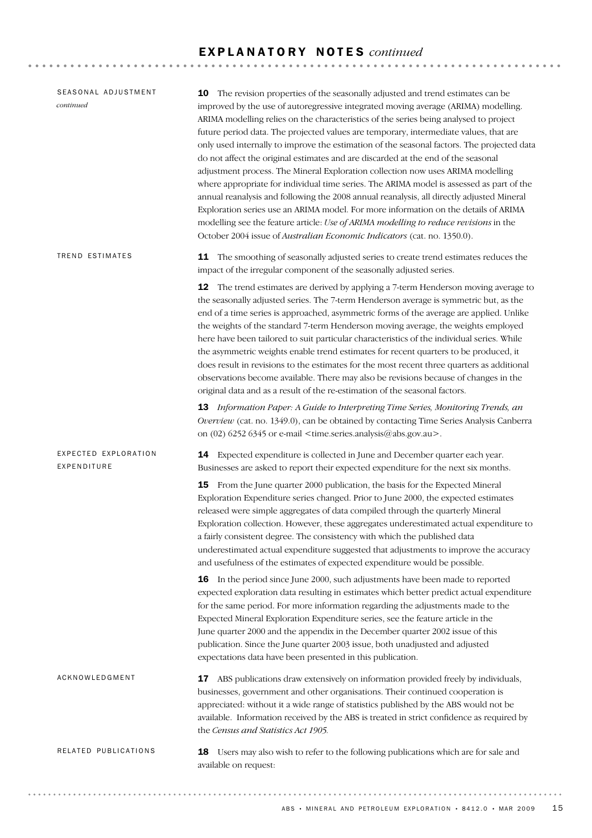## E X P L A N A T O R Y N O T E S *continued*

| SEASONAL ADJUSTMENT<br>continued    | 10 The revision properties of the seasonally adjusted and trend estimates can be<br>improved by the use of autoregressive integrated moving average (ARIMA) modelling.<br>ARIMA modelling relies on the characteristics of the series being analysed to project<br>future period data. The projected values are temporary, intermediate values, that are<br>only used internally to improve the estimation of the seasonal factors. The projected data<br>do not affect the original estimates and are discarded at the end of the seasonal<br>adjustment process. The Mineral Exploration collection now uses ARIMA modelling<br>where appropriate for individual time series. The ARIMA model is assessed as part of the<br>annual reanalysis and following the 2008 annual reanalysis, all directly adjusted Mineral<br>Exploration series use an ARIMA model. For more information on the details of ARIMA<br>modelling see the feature article: Use of ARIMA modelling to reduce revisions in the<br>October 2004 issue of Australian Economic Indicators (cat. no. 1350.0). |
|-------------------------------------|-----------------------------------------------------------------------------------------------------------------------------------------------------------------------------------------------------------------------------------------------------------------------------------------------------------------------------------------------------------------------------------------------------------------------------------------------------------------------------------------------------------------------------------------------------------------------------------------------------------------------------------------------------------------------------------------------------------------------------------------------------------------------------------------------------------------------------------------------------------------------------------------------------------------------------------------------------------------------------------------------------------------------------------------------------------------------------------|
| <b>TREND ESTIMATES</b>              | 11 The smoothing of seasonally adjusted series to create trend estimates reduces the<br>impact of the irregular component of the seasonally adjusted series.                                                                                                                                                                                                                                                                                                                                                                                                                                                                                                                                                                                                                                                                                                                                                                                                                                                                                                                      |
|                                     | <b>12</b> The trend estimates are derived by applying a 7-term Henderson moving average to<br>the seasonally adjusted series. The 7-term Henderson average is symmetric but, as the<br>end of a time series is approached, asymmetric forms of the average are applied. Unlike<br>the weights of the standard 7-term Henderson moving average, the weights employed<br>here have been tailored to suit particular characteristics of the individual series. While<br>the asymmetric weights enable trend estimates for recent quarters to be produced, it<br>does result in revisions to the estimates for the most recent three quarters as additional<br>observations become available. There may also be revisions because of changes in the<br>original data and as a result of the re-estimation of the seasonal factors.<br>13 Information Paper: A Guide to Interpreting Time Series, Monitoring Trends, an                                                                                                                                                                |
|                                     | Overview (cat. no. 1349.0), can be obtained by contacting Time Series Analysis Canberra<br>on $(02)$ 6252 6345 or e-mail <time.series.analysis@abs.gov.au>.</time.series.analysis@abs.gov.au>                                                                                                                                                                                                                                                                                                                                                                                                                                                                                                                                                                                                                                                                                                                                                                                                                                                                                     |
| EXPECTED EXPLORATION<br>EXPENDITURE | <b>14</b> Expected expenditure is collected in June and December quarter each year.<br>Businesses are asked to report their expected expenditure for the next six months.                                                                                                                                                                                                                                                                                                                                                                                                                                                                                                                                                                                                                                                                                                                                                                                                                                                                                                         |
|                                     | 15 From the June quarter 2000 publication, the basis for the Expected Mineral<br>Exploration Expenditure series changed. Prior to June 2000, the expected estimates<br>released were simple aggregates of data compiled through the quarterly Mineral<br>Exploration collection. However, these aggregates underestimated actual expenditure to<br>a fairly consistent degree. The consistency with which the published data<br>underestimated actual expenditure suggested that adjustments to improve the accuracy<br>and usefulness of the estimates of expected expenditure would be possible.                                                                                                                                                                                                                                                                                                                                                                                                                                                                                |
|                                     | 16 In the period since June 2000, such adjustments have been made to reported<br>expected exploration data resulting in estimates which better predict actual expenditure<br>for the same period. For more information regarding the adjustments made to the<br>Expected Mineral Exploration Expenditure series, see the feature article in the<br>June quarter 2000 and the appendix in the December quarter 2002 issue of this<br>publication. Since the June quarter 2003 issue, both unadjusted and adjusted<br>expectations data have been presented in this publication.                                                                                                                                                                                                                                                                                                                                                                                                                                                                                                    |
| ACKNOWLEDGMENT                      | 17 ABS publications draw extensively on information provided freely by individuals,<br>businesses, government and other organisations. Their continued cooperation is<br>appreciated: without it a wide range of statistics published by the ABS would not be<br>available. Information received by the ABS is treated in strict confidence as required by<br>the Census and Statistics Act 1905.                                                                                                                                                                                                                                                                                                                                                                                                                                                                                                                                                                                                                                                                                 |
| RELATED PUBLICATIONS                | <b>18</b> Users may also wish to refer to the following publications which are for sale and<br>available on request:                                                                                                                                                                                                                                                                                                                                                                                                                                                                                                                                                                                                                                                                                                                                                                                                                                                                                                                                                              |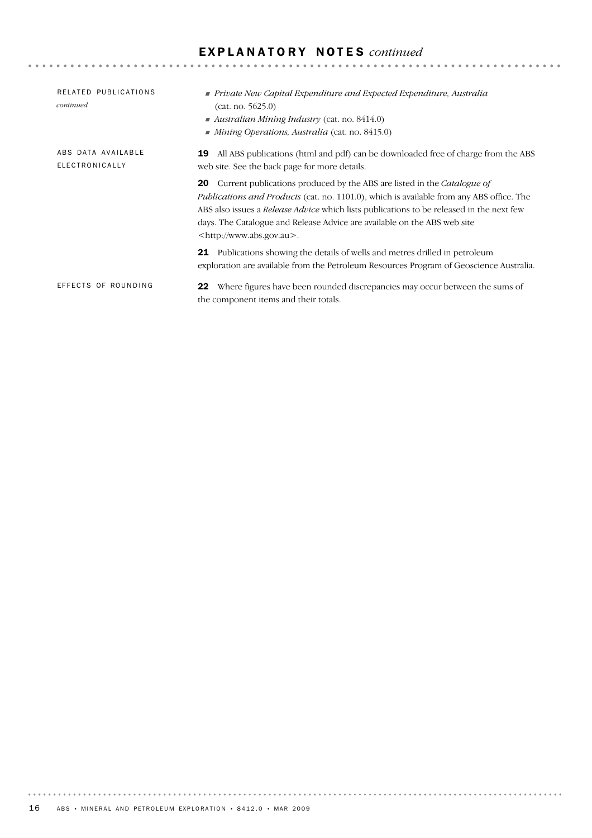# E X P L A N A T O R Y N O T E S *continued*

| RELATED PUBLICATIONS<br>continued    | ■ Private New Capital Expenditure and Expected Expenditure, Australia<br>(cat. no. 5625.0)<br>Australian Mining Industry (cat. no. $8414.0$ )<br>$\blacksquare$ Mining Operations, Australia (cat. no. 8415.0)                                                                                                                                                                                               |
|--------------------------------------|--------------------------------------------------------------------------------------------------------------------------------------------------------------------------------------------------------------------------------------------------------------------------------------------------------------------------------------------------------------------------------------------------------------|
| ABS DATA AVAILABLE<br>ELECTRONICALLY | All ABS publications (html and pdf) can be downloaded free of charge from the ABS<br>19<br>web site. See the back page for more details.                                                                                                                                                                                                                                                                     |
|                                      | Current publications produced by the ABS are listed in the <i>Catalogue of</i><br>20<br><i>Publications and Products</i> (cat. no. 1101.0), which is available from any ABS office. The<br>ABS also issues a <i>Release Advice</i> which lists publications to be released in the next few<br>days. The Catalogue and Release Advice are available on the ABS web site<br><http: www.abs.gov.au="">.</http:> |
|                                      | Publications showing the details of wells and metres drilled in petroleum<br>21<br>exploration are available from the Petroleum Resources Program of Geoscience Australia.                                                                                                                                                                                                                                   |
| EFFECTS OF ROUNDING                  | Where figures have been rounded discrepancies may occur between the sums of<br>22<br>the component items and their totals.                                                                                                                                                                                                                                                                                   |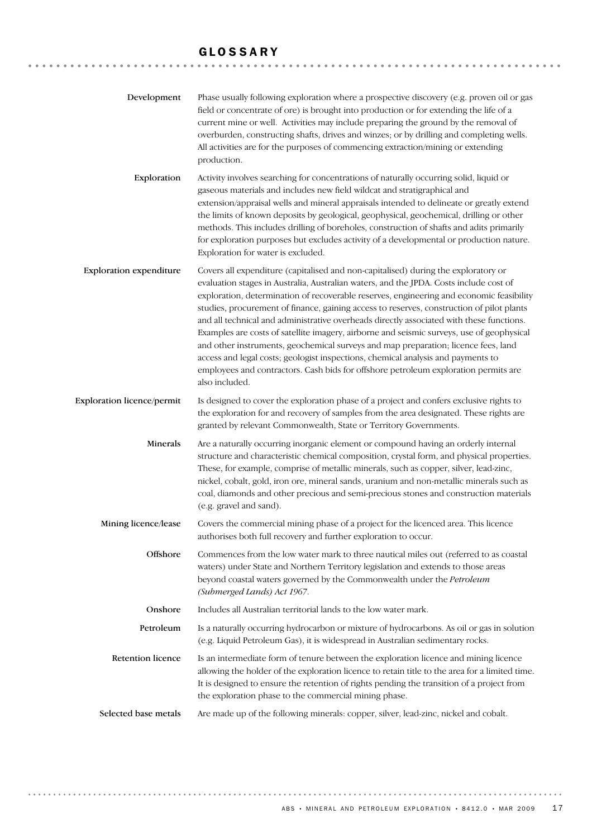## GLOSSARY

| Development                       | Phase usually following exploration where a prospective discovery (e.g. proven oil or gas<br>field or concentrate of ore) is brought into production or for extending the life of a<br>current mine or well. Activities may include preparing the ground by the removal of<br>overburden, constructing shafts, drives and winzes; or by drilling and completing wells.<br>All activities are for the purposes of commencing extraction/mining or extending<br>production.                                                                                                                                                                                                                                                                                                                                                                         |  |  |
|-----------------------------------|---------------------------------------------------------------------------------------------------------------------------------------------------------------------------------------------------------------------------------------------------------------------------------------------------------------------------------------------------------------------------------------------------------------------------------------------------------------------------------------------------------------------------------------------------------------------------------------------------------------------------------------------------------------------------------------------------------------------------------------------------------------------------------------------------------------------------------------------------|--|--|
| Exploration                       | Activity involves searching for concentrations of naturally occurring solid, liquid or<br>gaseous materials and includes new field wildcat and stratigraphical and<br>extension/appraisal wells and mineral appraisals intended to delineate or greatly extend<br>the limits of known deposits by geological, geophysical, geochemical, drilling or other<br>methods. This includes drilling of boreholes, construction of shafts and adits primarily<br>for exploration purposes but excludes activity of a developmental or production nature.<br>Exploration for water is excluded.                                                                                                                                                                                                                                                            |  |  |
| <b>Exploration expenditure</b>    | Covers all expenditure (capitalised and non-capitalised) during the exploratory or<br>evaluation stages in Australia, Australian waters, and the JPDA. Costs include cost of<br>exploration, determination of recoverable reserves, engineering and economic feasibility<br>studies, procurement of finance, gaining access to reserves, construction of pilot plants<br>and all technical and administrative overheads directly associated with these functions.<br>Examples are costs of satellite imagery, airborne and seismic surveys, use of geophysical<br>and other instruments, geochemical surveys and map preparation; licence fees, land<br>access and legal costs; geologist inspections, chemical analysis and payments to<br>employees and contractors. Cash bids for offshore petroleum exploration permits are<br>also included. |  |  |
| <b>Exploration licence/permit</b> | Is designed to cover the exploration phase of a project and confers exclusive rights to<br>the exploration for and recovery of samples from the area designated. These rights are<br>granted by relevant Commonwealth, State or Territory Governments.                                                                                                                                                                                                                                                                                                                                                                                                                                                                                                                                                                                            |  |  |
| Minerals                          | Are a naturally occurring inorganic element or compound having an orderly internal<br>structure and characteristic chemical composition, crystal form, and physical properties.<br>These, for example, comprise of metallic minerals, such as copper, silver, lead-zinc,<br>nickel, cobalt, gold, iron ore, mineral sands, uranium and non-metallic minerals such as<br>coal, diamonds and other precious and semi-precious stones and construction materials<br>(e.g. gravel and sand).                                                                                                                                                                                                                                                                                                                                                          |  |  |
| Mining licence/lease              | Covers the commercial mining phase of a project for the licenced area. This licence<br>authorises both full recovery and further exploration to occur.                                                                                                                                                                                                                                                                                                                                                                                                                                                                                                                                                                                                                                                                                            |  |  |
| Offshore                          | Commences from the low water mark to three nautical miles out (referred to as coastal<br>waters) under State and Northern Territory legislation and extends to those areas<br>beyond coastal waters governed by the Commonwealth under the Petroleum<br>(Submerged Lands) Act 1967.                                                                                                                                                                                                                                                                                                                                                                                                                                                                                                                                                               |  |  |
| Onshore                           | Includes all Australian territorial lands to the low water mark.                                                                                                                                                                                                                                                                                                                                                                                                                                                                                                                                                                                                                                                                                                                                                                                  |  |  |
| Petroleum                         | Is a naturally occurring hydrocarbon or mixture of hydrocarbons. As oil or gas in solution<br>(e.g. Liquid Petroleum Gas), it is widespread in Australian sedimentary rocks.                                                                                                                                                                                                                                                                                                                                                                                                                                                                                                                                                                                                                                                                      |  |  |
| <b>Retention licence</b>          | Is an intermediate form of tenure between the exploration licence and mining licence<br>allowing the holder of the exploration licence to retain title to the area for a limited time.<br>It is designed to ensure the retention of rights pending the transition of a project from<br>the exploration phase to the commercial mining phase.                                                                                                                                                                                                                                                                                                                                                                                                                                                                                                      |  |  |
| Selected base metals              | Are made up of the following minerals: copper, silver, lead-zinc, nickel and cobalt.                                                                                                                                                                                                                                                                                                                                                                                                                                                                                                                                                                                                                                                                                                                                                              |  |  |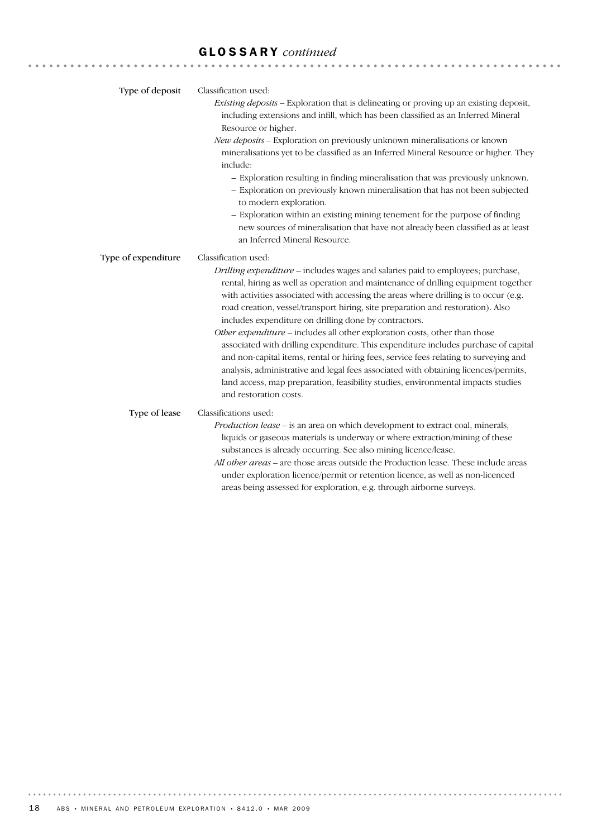# GLOSSARY *continued*

| Type of deposit     | Classification used:<br>Existing deposits - Exploration that is delineating or proving up an existing deposit,<br>including extensions and infill, which has been classified as an Inferred Mineral<br>Resource or higher.<br>New deposits - Exploration on previously unknown mineralisations or known<br>mineralisations yet to be classified as an Inferred Mineral Resource or higher. They<br>include:<br>- Exploration resulting in finding mineralisation that was previously unknown.<br>- Exploration on previously known mineralisation that has not been subjected<br>to modern exploration.<br>- Exploration within an existing mining tenement for the purpose of finding<br>new sources of mineralisation that have not already been classified as at least<br>an Inferred Mineral Resource.                                                                                          |
|---------------------|-----------------------------------------------------------------------------------------------------------------------------------------------------------------------------------------------------------------------------------------------------------------------------------------------------------------------------------------------------------------------------------------------------------------------------------------------------------------------------------------------------------------------------------------------------------------------------------------------------------------------------------------------------------------------------------------------------------------------------------------------------------------------------------------------------------------------------------------------------------------------------------------------------|
| Type of expenditure | Classification used:<br>Drilling expenditure - includes wages and salaries paid to employees; purchase,<br>rental, hiring as well as operation and maintenance of drilling equipment together<br>with activities associated with accessing the areas where drilling is to occur (e.g.<br>road creation, vessel/transport hiring, site preparation and restoration). Also<br>includes expenditure on drilling done by contractors.<br>Other expenditure - includes all other exploration costs, other than those<br>associated with drilling expenditure. This expenditure includes purchase of capital<br>and non-capital items, rental or hiring fees, service fees relating to surveying and<br>analysis, administrative and legal fees associated with obtaining licences/permits,<br>land access, map preparation, feasibility studies, environmental impacts studies<br>and restoration costs. |
| Type of lease       | Classifications used:<br>Production lease - is an area on which development to extract coal, minerals,<br>liquids or gaseous materials is underway or where extraction/mining of these<br>substances is already occurring. See also mining licence/lease.<br>All other areas - are those areas outside the Production lease. These include areas<br>under exploration licence/permit or retention licence, as well as non-licenced<br>areas being assessed for exploration, e.g. through airborne surveys.                                                                                                                                                                                                                                                                                                                                                                                          |